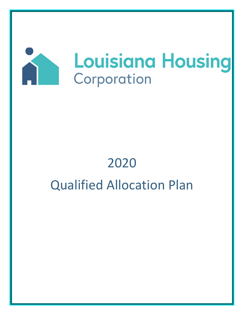

# 2020 Qualified Allocation Plan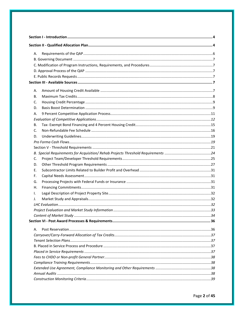| А. |  |  |
|----|--|--|
|    |  |  |
|    |  |  |
|    |  |  |
|    |  |  |
|    |  |  |
| А. |  |  |
| В. |  |  |
| C. |  |  |
| D. |  |  |
| А. |  |  |
|    |  |  |
| В. |  |  |
| C. |  |  |
| D. |  |  |
|    |  |  |
|    |  |  |
|    |  |  |
| C. |  |  |
| D. |  |  |
| Е. |  |  |
| F. |  |  |
| G. |  |  |
| Η. |  |  |
| Τ. |  |  |
| J. |  |  |
|    |  |  |
|    |  |  |
|    |  |  |
|    |  |  |
| Α. |  |  |
|    |  |  |
|    |  |  |
|    |  |  |
|    |  |  |
|    |  |  |
|    |  |  |
|    |  |  |
|    |  |  |
|    |  |  |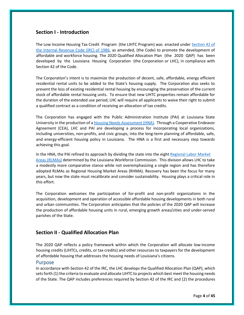# <span id="page-3-0"></span>**Section I ‐ Introduction**

The Low Income Housing Tax Credit Program (the LIHTC Program) was enacted under [Section 42 of](https://www.irs.gov/pub/irs-utl/IRC_42.pdf)  [the Internal Revenue Code \(IRC\) of 1986,](https://www.irs.gov/pub/irs-utl/IRC_42.pdf) as amended, (the Code) to promote the development of affordable and workforce housing. The 2020 Qualified Allocation Plan (the 2020 QAP) has been developed by the Louisiana Housing Corporation (the Corporation or LHC), in compliance with Section 42 of the Code.

The Corporation's intent is to maximize the production of decent, safe, affordable, energy efficient residential rental units to be added to the State's housing supply. The Corporation also seeks to prevent the loss of existing residential rental housing by encouraging the preservation of the current stock of affordable rental housing units. To ensure that new LIHTC properties remain affordable for the duration of the extended use period, LHC will require all applicants to waive their right to submit a qualified contract as a condition of receiving an allocation of tax credits.

The Corporation has engaged with the Public Administration Institute (PAI) at Louisiana State University in the production of a **Housing Needs Assessment (HNA)**. Through a Cooperative Endeavor Agreement (CEA), LHC and PAI are developing a process for incorporating local organizations, including universities, non-profits, and civic groups, into the long-term planning of affordable, safe, and energy-efficient housing policy in Louisiana. The HNA is a first and necessary step towards achieving this goal.

In the HNA, the PAI refined its approach by dividing the state into the eight Regional Labor Market [Areas \(RLMAs\)](https://www.lhc.la.gov/2019-louisiana-housing-needs-assessment) determined by the Louisiana Workforce Commission. This division allows LHC to take a modestly more comparative stance while not overemphasizing a single region and has therefore adopted RLMAs as Regional Housing Market Areas (RHMA). Recovery has been the focus for many years, but now the state must recalibrate and consider sustainability. Housing plays a critical role in this effort.

The Corporation welcomes the participation of for-profit and non-profit organizations in the acquisition, development and operation of accessible affordable housing developments in both rural and urban communities. The Corporation anticipates that the policies of the 2020 QAP will increase the production of affordable housing units in rural, emerging growth areas/cities and under‐served parishes of the State.

# <span id="page-3-1"></span>**Section II ‐ Qualified Allocation Plan**

The 2020 QAP reflects a policy framework within which the Corporation will allocate low‐income housing credits (LIHTCs, credits, or tax credits) and other resources to taxpayers for the development of affordable housing that addresses the housing needs of Louisiana's citizens.

## Purpose

In accordance with Section 42 of the IRC, the LHC develops the Qualified Allocation Plan (QAP), which sets forth (1) the criteria to evaluate and allocate LIHTC to projects which best meet the housing needs of the State. The QAP includes preferences required by Section 42 of the IRC and (2) the procedures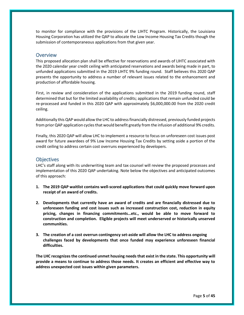to monitor for compliance with the provisions of the LIHTC Program. Historically, the Louisiana Housing Corporation has utilized the QAP to allocate the Low Income Housing Tax Credits though the submission of contemporaneous applications from that given year.

## **Overview**

This proposed allocation plan shall be effective for reservations and awards of LIHTC associated with the 2020 calendar year credit ceiling with anticipated reservations and awards being made in part, to unfunded applications submitted in the 2019 LIHTC 9% funding round. Staff believes this 2020 QAP presents the opportunity to address a number of relevant issues related to the enhancement and production of affordable housing.

First, in review and consideration of the applications submitted in the 2019 funding round, staff determined that but for the limited availability of credits; applications that remain unfunded could be re-processed and funded in this 2020 QAP with approximately \$6,000,000.00 from the 2020 credit ceiling.

Additionally this QAP would allow the LHC to address financially distressed, previously funded projects from prior QAP application cycles that would benefit greatly from the infusion of additional 9% credits.

Finally, this 2020 QAP will allow LHC to implement a resource to focus on unforeseen cost issues post award for future awardees of 9% Low Income Housing Tax Credits by setting aside a portion of the credit ceiling to address certain cost overruns experienced by developers.

## **Objectives**

LHC's staff along with its underwriting team and tax counsel will review the proposed processes and implementation of this 2020 QAP undertaking. Note below the objectives and anticipated outcomes of this approach:

- **1. The 2019 QAP waitlist contains well-scored applications that could quickly move forward upon receipt of an award of credits.**
- **2. Developments that currently have an award of credits and are financially distressed due to unforeseen funding and cost issues such as increased construction cost, reduction in equity pricing, changes in financing commitments…etc., would be able to move forward to construction and completion. Eligible projects will meet underserved or historically unserved communities.**
- **3. The creation of a cost overrun contingency set-aside will allow the LHC to address ongoing challenges faced by developments that once funded may experience unforeseen financial difficulties.**

**The LHC recognizes the continued unmet housing needs that exist in the state. This opportunity will provide a means to continue to address those needs. It creates an efficient and effective way to address unexpected cost issues within given parameters.**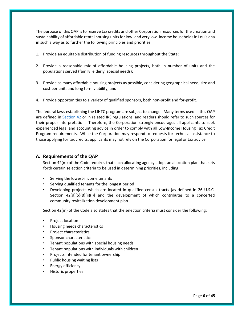The purpose of this QAP is to reserve tax credits and other Corporation resources for the creation and sustainability of affordable rental housing units for low‐ and very low‐ income households in Louisiana in such a way as to further the following principles and priorities:

- 1. Provide an equitable distribution of funding resources throughout the State;
- 2. Provide a reasonable mix of affordable housing projects, both in number of units and the populations served (family, elderly, special needs);
- 3. Provide as many affordable housing projects as possible, considering geographical need, size and cost per unit, and long term viability; and
- 4. Provide opportunities to a variety of qualified sponsors, both non-profit and for-profit.

The federal laws establishing the LIHTC program are subject to change. Many terms used in this QAP are defined in [Section 42](https://www.irs.gov/pub/irs-utl/IRC_42.pdf) or in related IRS regulations, and readers should refer to such sources for their proper interpretation. Therefore, the Corporation strongly encourages all applicants to seek experienced legal and accounting advice in order to comply with all Low‐Income Housing Tax Credit Program requirements. While the Corporation may respond to requests for technical assistance to those applying for tax credits, applicants may not rely on the Corporation for legal or tax advice.

## <span id="page-5-0"></span>**A. Requirements of the QAP**

Section 42(m) of the Code requires that each allocating agency adopt an allocation plan that sets forth certain selection criteria to be used in determining priorities, including:

- Serving the lowest‐income tenants
- Serving qualified tenants for the longest period
- Developing projects which are located in qualified census tracts [as defined in 26 U.S.C. Section  $42(d)(5)(B)(ii)(I)$  and the development of which contributes to a concerted community revitalization development plan

Section 42(m) of the Code also states that the selection criteria must consider the following:

- Project location
- Housing needs characteristics
- Project characteristics
- Sponsor characteristics
- Tenant populations with special housing needs
- Tenant populations with individuals with children
- Projects intended for tenant ownership
- Public housing waiting lists
- Energy efficiency
- Historic properties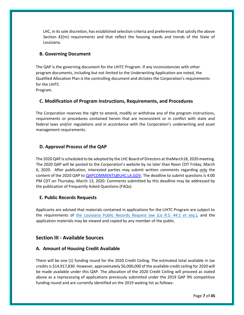LHC, in its sole discretion, has established selection criteria and preferences that satisfy the above Section 42(m) requirements and that reflect the housing needs and trends of the State of Louisiana.

## <span id="page-6-0"></span>**B. Governing Document**

The QAP is the governing document for the LIHTC Program. If any inconsistencies with other program documents, including but not limited to the Underwriting Application are noted, the Qualified Allocation Plan is the controlling document and dictates the Corporation's requirements for the LIHTC

Program.

## <span id="page-6-1"></span>**C. Modification of Program Instructions, Requirements, and Procedures**

The Corporation reserves the right to amend, modify or withdraw any of the program instructions, requirements or procedures contained herein that are inconsistent or in conflict with state and federal laws and/or regulations and in accordance with the Corporation's underwriting and asset management requirements.

# <span id="page-6-2"></span>**D. Approval Process of the QAP**

The 2020 QAP is scheduled to be adopted by the LHC Board of Directors at theMarch18, 2020 meeting. The 2020 QAP will be posted to the Corporation's website by no later than Noon CDT Friday, March 6, 2020. After publication, interested parties may submit written comments regarding only the content of the 2020 QAP to QAPCOMMENTS@LHC.LA.GOV. The deadline to submit questions is 4:00 PM CDT on Thursday, March 13, 2020. Comments submitted by this deadline may be addressed by the publication of Frequently Asked Questions (FAQs).

## <span id="page-6-3"></span>**E. Public Records Requests**

Applicants are advised that materials contained in applications for the LIHTC Program are subject to the requirements of [the Louisiana Public Records Request](http://app.lla.state.la.us/llala.nsf/7C469838E7BC1C5186257AC2004F6279/$FILE/Public%20Records%20Law%20FAQ.pdf) law (*La R.S. 44:1 et seq.*), and the application materials may be viewed and copied by any member of the public.

# <span id="page-6-4"></span>**Section III ‐ Available Sources**

## <span id="page-6-5"></span>**A. Amount of Housing Credit Available**

There will be one (1) funding round for the 2020 Credit Ceiling. The estimated total available in tax credits is \$14,917,830. However, approximately \$6,000,000 of the available credit ceiling for 2020 will be made available under this QAP. The allocation of the 2020 Credit Ceiling will proceed as stated above as a reprocessing of applications previously submitted under the 2019 QAP 9% competitive funding round and are currently identified on the 2019 waiting list as follows: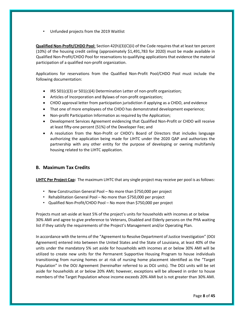• Unfunded projects from the 2019 Waitlist

**Qualified Non‐Profit/CHDO Pool**: Section 42(h)(3)(C)(ii) of the Code requires that at least ten percent (10%) of the housing credit ceiling (approximately \$1,491,783 for 2020) must be made available in Qualified Non‐Profit/CHDO Pool for reservations to qualifying applications that evidence the material participation of a qualified non‐profit organization.

Applications for reservations from the Qualified Non‐Profit Pool/CHDO Pool must include the following documentation:

- IRS 501(c)(3) or 501(c)(4) Determination Letter of non-profit organization;
- Articles of Incorporation and Bylaws of non‐profit organization;
- CHDO approval letter from participation jurisdiction if applying as a CHDO, and evidence
- That one of more employees of the CHDO has demonstrated development experience;
- Non-profit Participation Information as required by the Application;
- Development Services Agreement evidencing that Qualified Non-Profit or CHDO will receive at least fifty‐one percent (51%) of the Developer Fee; and
- A resolution from the Non-Profit or CHDO's Board of Directors that includes language authorizing the application being made for LIHTC under the 2020 QAP and authorizes the partnership with any other entity for the purpose of developing or owning multifamily housing related to the LIHTC application.

## <span id="page-7-0"></span>**B. Maximum Tax Credits**

**LIHTC Per Project Cap:** The maximum LIHTC that any single project may receive per pool is as follows:

- New Construction General Pool No more than \$750,000 per project
- Rehabilitation General Pool No more than \$750,000 per project
- Qualified Non-Profit/CHDO Pool No more than \$750,000 per project

Projects must set‐aside at least 5% of the project's units for households with incomes at or below 30% AMI and agree to give preference to Veterans, Disabled and Elderly persons on the PHA waiting list if they satisfy the requirements of the Project's Management and/or Operating Plan.

In accordance with the terms of the "Agreement to Resolve Department of Justice Investigation" (DOJ Agreement) entered into between the United States and the State of Louisiana, at least 40% of the units under the mandatory 5% set aside for households with incomes at or below 30% AMI will be utilized to create new units for the Permanent Supportive Housing Program to house individuals transitioning from nursing homes or at risk of nursing home placement identified as the "Target Population" in the DOJ Agreement (hereinafter referred to as DOJ units). The DOJ units will be set aside for households at or below 20% AMI; however, exceptions will be allowed in order to house members of the Target Population whose income exceeds 20% AMI but is not greater than 30% AMI.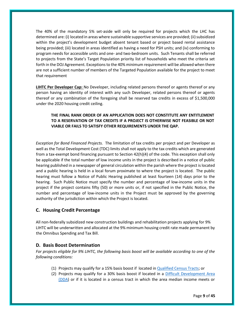The 40% of the mandatory 5% set-aside will only be required for projects which the LHC has determined are: (i) located in areas where sustainable supportive services are provided; (ii) subsidized within the project's development budget absent tenant based or project based rental assistance being provided; (iii) located in areas identified as having a need for PSH units; and (iv) conforming to program needs for accessible units and one- and two-bedroom units. Such Tenants shall be referred to projects from the State's Target Population priority list of households who meet the criteria set forth in the DOJ Agreement. Exceptions to the 40% minimum requirement will be allowed when there are not a sufficient number of members of the Targeted Population available for the project to meet that requirement

**LIHTC Per Developer Cap:** No Developer, including related persons thereof or agents thereof or any person having an identity of interest with any such Developer, related persons thereof or agents thereof or any combination of the foregoing shall be reserved tax credits in excess of \$1,500,000 under the 2020 housing credit ceiling.

## **THE FINAL RANK ORDER OF AN APPLICATION DOES NOT CONSTITUTE ANY ENTITLEMENT TO A RESERVATION OF TAX CREDITS IF A PROJECT IS OTHERWISE NOT FEASIBLE OR NOT VIABLE OR FAILS TO SATISFY OTHER REQUIREMENTS UNDER THE QAP.**

*Exception for Bond Financed Projects.* The limitation of tax credits per project and per Developer as well as the Total Development Cost (TDC) limits shall not apply to the tax credits which are generated from a tax-exempt bond financing pursuant to Section 42(h)(4) of the code. This exception shall only be applicable if the total number of low income units in the project is described in a notice of public hearing published in a newspaper of general circulation within the parish where the project is located and a public hearing is held in a local forum proximate to where the project is located. The public hearing must follow a Notice of Public Hearing published at least fourteen (14) days prior to the hearing. Such Public Notice must specify the number and percentage of low‐income units in the project if the project contains fifty (50) or more units or, if not specified in the Public Notice, the number and percentage of low‐income units in the Project must be approved by the governing authority of the jurisdiction within which the Project is located.

## <span id="page-8-0"></span>**C. Housing Credit Percentage**

All non‐federally subsidized new construction buildings and rehabilitation projects applying for 9% LIHTC will be underwritten and allocated at the 9% minimum housing credit rate made permanent by the Omnibus Spending and Tax Bill.

## <span id="page-8-1"></span>**D. Basis Boost Determination**

*For projects eligible for 9% LIHTC, the following basis boost will be available according to one of the following conditions:*

- (1) Projects may qualify for a 15% basis boost if located in [Qualified Census Tracts;](file://///fileprint0/LHFA_Share/2019%20QAP%20Development/Maps-Census%20Data/QCTs%20and%20DDAs/QCTs%20and%20DDAs.xls) or
- (2) Projects may qualify for a 30% basis boost if located in a [Difficult Development Area](file://///fileprint0/LHFA_Share/2019%20QAP%20Development/Maps-Census%20Data/QCTs%20and%20DDAs/QCTs%20and%20DDAs.xls)  [\(DDA\)](file://///fileprint0/LHFA_Share/2019%20QAP%20Development/Maps-Census%20Data/QCTs%20and%20DDAs/QCTs%20and%20DDAs.xls) or if it is located in a census tract in which the area median income meets or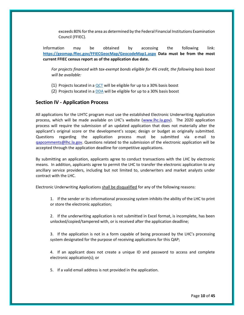exceeds 80% for the area as determined by the Federal Financial Institutions Examination Council (FFIEC).

Information may be obtained by accessing the following link: **<https://geomap.ffiec.gov/FFIECGeocMap/GeocodeMap1.aspx> Data must be from the most current FFIEC census report as of the application due date.**

*For projects financed with tax-exempt bonds eligible for 4% credit, the following basis boost will be available:*

- (1) Projects located in a  $QCT$  will be eligible for up to a 30% basis boost
- (2) Projects located in [a DDA](file://///fileprint0/LHFA_Share/2019%20QAP%20Development/Maps-Census%20Data/QCTs%20and%20DDAs/QCTs%20and%20DDAs.xls) will be eligible for up to a 30% basis boost

## **Section IV ‐ Application Process**

All applications for the LIHTC program must use the established Electronic Underwriting Application process, which will be made available on LHC's website (www.lhc.la.gov). The 2020 application process will require the submission of an updated application that does not materially alter the applicant's original score or the development's scope; design or budget as originally submitted. Questions regarding the application process must be submitted via e‐mail to gapcomments@lhc.la.gov. Questions related to the submission of the electronic application will be accepted through the application deadline for competitive applications.

By submitting an application, applicants agree to conduct transactions with the LHC by electronic means. In addition, applicants agree to permit the LHC to transfer the electronic application to any ancillary service providers, including but not limited to, underwriters and market analysts under contract with the LHC.

Electronic Underwriting Applications shall be disqualified for any of the following reasons:

1. If the sender or its informational processing system inhibits the ability of the LHC to print or store the electronic application;

2. If the underwriting application is not submitted in Excel format, is incomplete, has been unlocked/copied/tampered with, or is received after the application deadline;

3. If the application is not in a form capable of being processed by the LHC's processing system designated for the purpose of receiving applications for this QAP;

4. If an applicant does not create a unique ID and password to access and complete electronic application(s); or

5. If a valid email address is not provided in the application.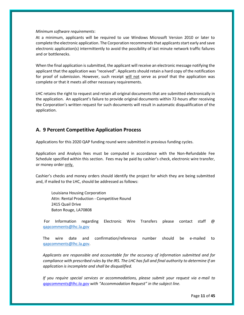#### *Minimum software requirements*:

At a minimum, applicants will be required to use Windows Microsoft Version 2010 or later to complete the electronic application. The Corporation recommends that applicants start early and save electronic application(s) intermittently to avoid the possibility of last minute network traffic failures and or bottlenecks.

When the final application is submitted, the applicant will receive an electronic message notifying the applicant that the application was "received". Applicants should retain a hard copy of the notification for proof of submission. However, such receipt will not serve as proof that the application was complete or that it meets all other necessary requirements.

LHC retains the right to request and retain all original documents that are submitted electronically in the application. An applicant's failure to provide original documents within 72‐hours after receiving the Corporation's written request for such documents will result in automatic disqualification of the application.

# <span id="page-10-0"></span>**A. 9 Percent Competitive Application Process**

Applications for this 2020 QAP funding round were submitted in previous funding cycles.

Application and Analysis fees must be computed in accordance with the Non‐Refundable Fee Schedule specified within this section. Fees may be paid by cashier's check, electronic wire transfer, or money order only.

Cashier's checks and money orders should identify the project for which they are being submitted and, if mailed to the LHC, should be addressed as follows:

Louisiana Housing Corporation Attn: Rental Production ‐ Competitive Round 2415 Quail Drive Baton Rouge, LA70808

For Information regarding Electronic Wire Transfers please contact staff @ [qapcomments@lhc.la.gov](mailto:qapcomments@lhc.la.gov)

The wire date and confirmation/reference number should be e‐mailed to [qapcomments@lhc.la.gov.](mailto:qapcomments@lhc.la.gov)

*Applicants are responsible and accountable for the accuracy of information submitted and for compliance with prescribed rules by the IRS. The LHC has full and final authority to determine if an application is incomplete and shall be disqualified.* 

*If you require special services or accommodations, please submit your request via e‐mail to qapcomments@lhc.la.gov with "Accommodation Request" in the subject line.*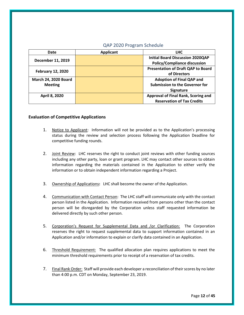## QAP 2020 Program Schedule

| Date                        | <b>Applicant</b> | <b>LHC</b>                                |
|-----------------------------|------------------|-------------------------------------------|
| December 11, 2019           |                  | <b>Initial Board Discussion 2020QAP</b>   |
|                             |                  | <b>Policy/Compliance discussion</b>       |
| <b>February 12, 2020</b>    |                  | <b>Presentation of Draft QAP to Board</b> |
|                             |                  | of Directors                              |
| <b>March 24, 2020 Board</b> |                  | <b>Adoption of Final QAP and</b>          |
| <b>Meeting</b>              |                  | <b>Submission to the Governor for</b>     |
|                             |                  | Signature                                 |
| April 8, 2020               |                  | Approval of Final Rank, Scoring and       |
|                             |                  | <b>Reservation of Tax Credits</b>         |

## <span id="page-11-0"></span>**Evaluation of Competitive Applications**

- 1. Notice to Applicant: Information will not be provided as to the Application's processing status during the review and selection process following the Application Deadline for competitive funding rounds.
- 2. Joint Review: LHC reserves the right to conduct joint reviews with other funding sources including any other party, loan or grant program. LHC may contact other sources to obtain information regarding the materials contained in the Application to either verify the information or to obtain independent information regarding a Project.
- 3. Ownership of Applications**:** LHC shall become the owner of the Application.
- 4. Communication with Contact Person: The LHC staff will communicate only with the contact person listed in the Application. Information received from persons other than the contact person will be disregarded by the Corporation unless staff requested information be delivered directly by such other person.
- 5. Corporation's Request for Supplemental Data and /or Clarification: The Corporation reserves the right to request supplemental data to support information contained in an Application and/or information to explain or clarify data contained in an Application.
- 6. Threshold Requirement: The qualified allocation plan requires applications to meet the minimum threshold requirements prior to receipt of a reservation of tax credits.
- 7. Final Rank Order: Staff will provide each developer a reconciliation of their scores by no later than 4:00 p.m. CDT on Monday, September 23, 2019.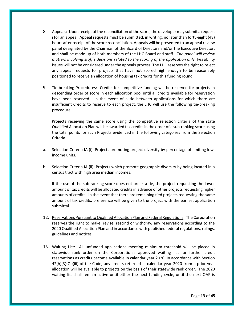- 8. Appeals**:** Upon receipt of the reconciliation of the score, the developer may submit a request i for an appeal. Appeal requests must be submitted, in writing, no later than forty-eight (48) hours after receipt of the score reconciliation. Appeals will be presented to an appeal review panel designated by the Chairman of the Board of Directors and/or the Executive Director, and shall be made up of both members of the LHC Board and staff. *The panel will review matters involving staff's decisions related to the scoring of the application only.* Feasibility issues will not be considered under the appeals process. The LHC reserves the right to reject any appeal requests for projects that have not scored high enough to be reasonably positioned to receive an allocation of housing tax credits for this funding round.
- 9. Tie‐breaking Procedures: Credits for competitive funding will be reserved for projects in descending order of score in each allocation pool until all credits available for reservation have been reserved. In the event of a tie between applications for which there are insufficient Credits to reserve to each project, the LHC will use the following tie‐breaking procedure:

 Projects receiving the same score using the competitive selection criteria of the state Qualified Allocation Plan will be awarded tax credits in the order of a sub‐ranking score using the total points for such Projects evidenced in the following categories from the Selection Criteria:

- a. Selection Criteria IA (i): Projects promoting project diversity by percentage of limiting lowincome units.
- b. Selection Criteria IA (ii): Projects which promote geographic diversity by being located in a census tract with high area median incomes.

If the use of the sub‐ranking score does not break a tie, the project requesting the lower amount of tax credits will be allocated credits in advance of other projects requesting higher amounts of credits. In the event that there are remaining tied projects requesting the same amount of tax credits, preference will be given to the project with the earliest application submittal.

- 12. Reservations Pursuant to Qualified Allocation Plan and Federal Regulations: The Corporation reserves the right to make, revise, rescind or withdraw any reservations according to the 2020 Qualified Allocation Plan and in accordance with published federal regulations, rulings, guidelines and notices.
- 13. Waiting List: All unfunded applications meeting minimum threshold will be placed in statewide rank order on the Corporation's approved waiting list for further credit reservations as credits become available in calendar year 2020. In accordance with Section  $42(h)(3)(C)$  (iii) of the Code, any credits returned in calendar year 2020 from a prior year allocation will be available to projects on the basis of their statewide rank order. The 2020 waiting list shall remain active until either the next funding cycle, until the next QAP is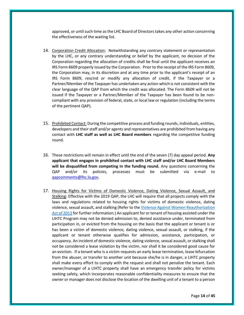approved, or until such time as the LHC Board of Directors takes any other action concerning the effectiveness of the waiting list.

- 14. Corporation Credit Allocation: Notwithstanding any contrary statement or representation by the LHC, or any contrary understanding or belief by the applicant, no decision of the Corporation regarding the allocation of credits shall be final until the applicant receives an IRS Form 8609 properly issued by the Corporation. Prior to the receipt of the IRS Form 8609, the Corporation may, in its discretion and at any time prior to the applicant's receipt of an IRS Form 8609, rescind or modify any allocation of credit, if the Taxpayer or a Partner/Member of the Taxpayer has undertaken any action which is not consistent with the clear language of the QAP from which the credit was allocated. The Form 8609 will not be issued if the Taxpayer or a Partner/Member of the Taxpayer has been found to be non‐ compliant with any provision of federal, state, or local law or regulation (including the terms of the pertinent QAP).
- 15. Prohibited Contact: During the competitive process and funding rounds, individuals, entities, developers and their staff and/or agents and representatives are prohibited from having any contact with **LHC staff as well as LHC Board members** regarding the competitive funding round.
- 16. These restrictions will remain in effect until the end of the seven (7) day appeal period. **Any applicant that engages in prohibited contact with LHC staff and/or LHC Board Members will be disqualified from competing in the funding round.** Any questions concerning the QAP and/or its policies, processes must be submitted via e-mail to qapcomments@lhc.la.gov.
- 17. Housing Rights for Victims of Domestic Violence, Dating Violence, Sexual Assault, and Stalking: Effective with the 2019 QAP, the LHC will require that all projects comply with the laws and regulations related to housing rights for victims of domestic violence, dating violence, sexual assault, and stalking (Refer to th[e Violence Against Women Reauthorization](https://www.federalregister.gov/documents/2013/08/06/2013-18920/the-violence-against-women-reauthorization-act-of-2013-overview-of-applicability-to-hud-programs)  [Act of 2013](https://www.federalregister.gov/documents/2013/08/06/2013-18920/the-violence-against-women-reauthorization-act-of-2013-overview-of-applicability-to-hud-programs) for further information.) An applicant for or tenant of housing assisted under the LIHTC Program may not be denied admission to, denied assistance under, terminated from participation in, or evicted from the housing on the basis that the applicant or tenant is or has been a victim of domestic violence, dating violence, sexual assault, or stalking, if the applicant or tenant otherwise qualifies for admission, assistance, participation, or occupancy. An incident of domestic violence, dating violence, sexual assault, or stalking shall not be considered a lease violation by the victim, nor shall it be considered good cause for an eviction. If a tenant who is a victim requests an early lease termination, lease bifurcation from the abuser, or transfer to another unit because she/he is in danger, a LIHTC property shall make every effort to comply with the request and shall not penalize the tenant. Each owner/manager of a LIHTC property shall have an emergency transfer policy for victims seeking safety, which incorporates reasonable confidentiality measures to ensure that the owner or manager does not disclose the location of the dwelling unit of a tenant to a person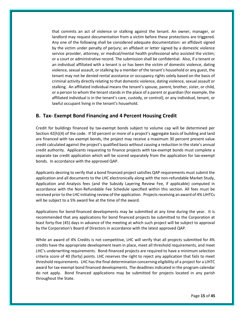that commits an act of violence or stalking against the tenant. An owner, manager, or landlord may request documentation from a victim before these protections are triggered. Any one of the following shall be considered adequate documentation: an affidavit signed by the victim under penalty of perjury; an affidavit or letter signed by a domestic violence service provider, attorney, or medical/mental health professional who assisted the victim; or a court or administrative record. The submission shall be confidential. Also, if a tenant or an individual affiliated with a tenant is or has been the victim of domestic violence, dating violence, sexual assault, or stalking by a member of the tenant's household or any guest, the tenant may not be denied rental assistance or occupancy rights solely based on the basis of criminal activity directly relating to that domestic violence, dating violence, sexual assault or stalking. An affiliated individual means the tenant's spouse, parent, brother, sister, or child, or a person to whom the tenant stands in the place of a parent or guardian (for example, the affiliated individual is in the tenant's care, custody, or control); or any individual, tenant, or lawful occupant living in the tenant's household.

# <span id="page-14-0"></span>**B. Tax‐ Exempt Bond Financing and 4 Percent Housing Credit**

Credit for buildings financed by tax‐exempt bonds subject to volume cap will be determined per Section 42(h)(4) of the code. If 50 percent or more of a project's aggregate basis of building and land are financed with tax exempt bonds, the project may receive a maximum 30 percent present value credit calculated against the project's qualified basis without causing a reduction in the state's annual credit authority. Applicants requesting to finance projects with tax‐exempt bonds must complete a separate tax credit application which will be scored separately from the application for tax-exempt bonds. In accordance with the approved QAP.

Applicants desiring to verify that a bond financed project satisfies QAP requirements must submit the application and all documents to the LHC electronically along with the non‐refundable Market Study, Application and Analysis fees (and the Subsidy Layering Review Fee, if applicable) computed in accordance with the Non‐Refundable Fee Schedule specified within this section. All fees must be received prior to the LHC initiating review of the application. Projects receiving an award of 4% LIHTCs will be subject to a 5% award fee at the time of the award.

Applications for bond‐financed developments may be submitted at any time during the year. It is recommended that any applications for bond financed projects be submitted to the Corporation at least forty‐five (45) days in advance of the meeting at which such project will be subject to approval by the Corporation's Board of Directors in accordance with the latest approved QAP.

While an award of 4% Credits is not competitive, LHC will verify that all projects submitted for 4% credits have the appropriate development team in place, meet all threshold requirements, and meet LHC's underwriting requirements. Bond‐financed projects are required to have a minimum selection criteria score of 40 (forty) points. LHC reserves the right to reject any application that fails to meet threshold requirements. LHC has the final determination concerning eligibility of a project for a LIHTC award for tax‐exempt bond financed developments. The deadlines indicated in the program calendar do not apply. Bond financed applications may be submitted for projects located in any parish throughout the State.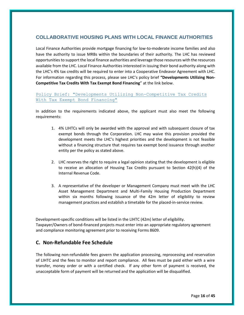# **COLLABORATIVE HOUSING PLANS WITH LOCAL FINANCE AUTHORITIES**

Local Finance Authorities provide mortgage financing for low-to-moderate income families and also have the authority to issue MRBs within the boundaries of their authority. The LHC has reviewed opportunities to support the local finance authorities and leverage those resources with the resources available from the LHC. Local Finance Authorities interested in issuing their bond authority along with the LHC's 4% tax credits will be required to enter into a Cooperative Endeavor Agreement with LHC. For information regarding this process, please see LHC's policy brief **"Developments Utilizing Non-Competitive Tax Credits With Tax Exempt Bond Financing**" at the link below.

## [Policy Brief: "Developments Utilizing Non-Competitive Tax Credits](https://cdn2.hubspot.net/hubfs/4280063/Policy.pdf)  [With Tax Exempt Bond Financing"](https://cdn2.hubspot.net/hubfs/4280063/Policy.pdf)

In addition to the requirements indicated above, the applicant must also meet the following requirements:

- 1. 4% LIHTCs will only be awarded with the approval and with subsequent closure of tax exempt bonds through the Corporation. LHC may waive this provision provided the development meets the LHC's highest priorities and the development is not feasible without a financing structure that requires tax exempt bond issuance through another entity per the policy as stated above.
- 2. LHC reserves the right to require a legal opinion stating that the development is eligible to receive an allocation of Housing Tax Credits pursuant to Section 42(h)(4) of the Internal Revenue Code.
- 3. A representative of the developer or Management Company must meet with the LHC Asset Management Department and Multi‐Family Housing Production Department within six months following issuance of the 42m letter of eligibility to review management practices and establish a timetable for the placed-in-service review.

Development‐specific conditions will be listed in the LIHTC (42m) letter of eligibility. Taxpayer/Owners of bond‐financed projects must enter into an appropriate regulatory agreement and compliance monitoring agreement prior to receiving Forms 8609.

# <span id="page-15-0"></span>**C. Non‐Refundable Fee Schedule**

The following non‐refundable fees govern the application processing, reprocessing and reservation of LIHTC and the fees to monitor and report compliance. All fees must be paid either with a wire transfer, money order or with a certified check. If any other form of payment is received, the unacceptable form of payment will be returned and the application will be disqualified.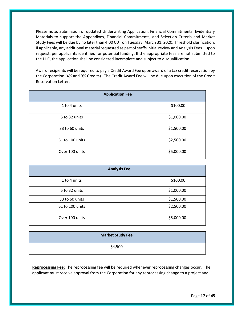Please note: Submission of updated Underwriting Application, Financial Commitments, Evidentiary Materials to support the Appendixes, Financial Commitments, and Selection Criteria and Market Study Fees will be due by no later than 4:00 CDT on Tuesday, March 31, 2020. Threshold clarification, if applicable, any additional material requested as part of staffs initial review and Analysis Fees – upon request, per applicants identified for potential funding. If the appropriate fees are not submitted to the LHC, the application shall be considered incomplete and subject to disqualification.

Award recipients will be required to pay a Credit Award Fee upon award of a tax credit reservation by the Corporation (4% and 9% Credits). The Credit Award Fee will be due upon execution of the Credit Reservation Letter.

| <b>Application Fee</b> |            |  |
|------------------------|------------|--|
| 1 to 4 units           | \$100.00   |  |
| 5 to 32 units          | \$1,000.00 |  |
| 33 to 60 units         | \$1,500.00 |  |
| 61 to 100 units        | \$2,500.00 |  |
| Over 100 units         | \$5,000.00 |  |

| <b>Analysis Fee</b> |            |  |
|---------------------|------------|--|
| 1 to 4 units        | \$100.00   |  |
| 5 to 32 units       | \$1,000.00 |  |
| 33 to 60 units      | \$1,500.00 |  |
| 61 to 100 units     | \$2,500.00 |  |
| Over 100 units      | \$5,000.00 |  |

| <b>Market Study Fee</b> |
|-------------------------|
| \$4,500                 |

**Reprocessing Fee:** The reprocessing fee will be required whenever reprocessing changes occur. The applicant must receive approval from the Corporation for any reprocessing change to a project and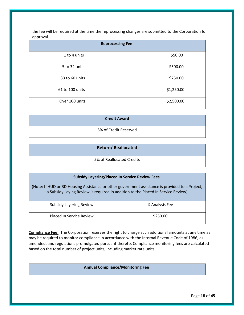the fee will be required at the time the reprocessing changes are submitted to the Corporation for approval.

| <b>Reprocessing Fee</b> |            |  |
|-------------------------|------------|--|
| 1 to 4 units            | \$50.00    |  |
| 5 to 32 units           | \$500.00   |  |
| 33 to 60 units          | \$750.00   |  |
| 61 to 100 units         | \$1,250.00 |  |
| Over 100 units          | \$2,500.00 |  |

5% of Credit Reserved

## **Return/ Reallocated**

5% of Reallocated Credits

# **Subsidy Layering/Placed In Service Review Fees**

(Note: If HUD or RD Housing Assistance or other government assistance is provided to a Project, a Subsidy Laying Review is required in addition to the Placed In Service Review)

| <b>Subsidy Layering Review</b> | 1/4 Analysis Fee |
|--------------------------------|------------------|
| Placed In Service Review       | \$250.00         |

**Compliance Fee:** The Corporation reserves the right to charge such additional amounts at any time as may be required to monitor compliance in accordance with the Internal Revenue Code of 1986, as amended, and regulations promulgated pursuant thereto. Compliance monitoring fees are calculated based on the total number of project units, including market rate units.

## **Annual Compliance/Monitoring Fee**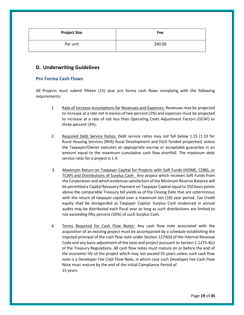| <b>Project Size</b> | <b>Fee</b> |
|---------------------|------------|
| Per unit            | \$40.00    |

# <span id="page-18-0"></span>**D. Underwriting Guidelines**

## <span id="page-18-1"></span>**Pro Forma Cash Flows**

All Projects must submit fifteen (15) year pro forma cash flows complying with the following requirements:

- 1. Rate of Increase Assumptions for Revenues and Expenses: Revenues may be projected to increase at a rate not in excess of two percent (2%) and expenses must be projected to increase at a rate of not less than Operating Costs Adjustment Factors (OCAF) or three percent (3%).
- 2. Required Debt Service Ratios: Debt service ratios may not fall below 1.15 (1.10 for Rural Housing Services (RHS) Rural Development and HUD funded properties) unless the Taxpayer/Owner executes an appropriate escrow or acceptable guarantee in an amount equal to the maximum cumulative cash flow shortfall. The maximum debt service ratio for a project is 1.4.
- 3. Maximum Return on Taxpayer Capital for Projects with Soft Funds (HOME, CDBG, or TCAP) and Distributions of Surplus Cash: Any project which receives Soft Funds from the Corporation and which evidences satisfaction of the Minimum Reserve Balance will be permitted a Capital Recovery Payment on Taxpayer Capital equal to 350 basis points above the comparable Treasury bill yields as of the Closing Date that are coterminous with the return of taxpayer capital over a maximum ten (10) year period. Tax Credit equity shall be disregarded as Taxpayer Capital. Surplus Cash evidenced in annual audits may be distributed each fiscal year so long as such distributions are limited to not exceeding fifty percent (50%) of such Surplus Cash.
- 4. Terms Required for Cash Flow Notes: Any cash flow note associated with the acquisition of an existing project must be accompanied by a schedule establishing the imputed principal of the cash flow note under Section 1274(b) of the Internal Revenue Code and any basis adjustment of the note and project pursuant to Section 1.1275‐4(c) of the Treasury Regulations. All cash flow notes must mature on or before the end of the economic life of the project which may not exceed 55 years unless such cash flow note is a Developer Fee Cash Flow Note, in which case such Developer Fee Cash Flow Note must mature by the end of the initial Compliance Period of 15 years.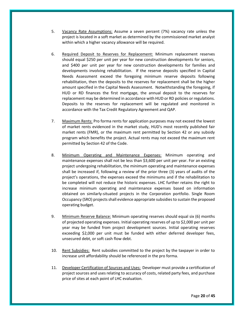- 5. Vacancy Rate Assumptions: Assume a seven percent (7%) vacancy rate unless the project is located in a soft market as determined by the commissioned market analyst within which a higher vacancy allowance will be required.
- 6. Required Deposit to Reserves for Replacement: Minimum replacement reserves should equal \$250 per unit per year for new construction developments for seniors, and \$400 per unit per year for new construction developments for families and developments involving rehabilitation. If the reserve deposits specified in Capital Needs Assessment exceed the foregoing minimum reserve deposits following rehabilitation, then the deposits to the reserves for replacement shall be the higher amount specified in the Capital Needs Assessment. Notwithstanding the foregoing, if HUD or RD finances the first mortgage, the annual deposit to the reserves for replacement may be determined in accordance with HUD or RD policies or regulations. Deposits to the reserves for replacement will be regulated and monitored in accordance with the Tax Credit Regulatory Agreement and QAP.
- 7. Maximum Rents: Pro forma rents for application purposes may not exceed the lowest of market rents evidenced in the market study, HUD's most recently published fair market rents (FMR), or the maximum rent permitted by Section 42 or any subsidy program which benefits the project. Actual rents may not exceed the maximum rent permitted by Section 42 of the Code.
- 8. Minimum Operating and Maintenance Expenses: Minimum operating and maintenance expenses shall not be less than \$3,600 per unit per year. For an existing project undergoing rehabilitation, the minimum operating and maintenance expenses shall be increased if, following a review of the prior three (3) years of audits of the project's operations, the expenses exceed the minimums and if the rehabilitation to be completed will not reduce the historic expenses. LHC further retains the right to increase minimum operating and maintenance expenses based on information obtained on similarly‐situated projects in the Corporation portfolio. Single Room Occupancy (SRO) projects shall evidence appropriate subsidies to sustain the proposed operating budget.
- 9. Minimum Reserve Balance: Minimum operating reserves should equal six (6) months of projected operating expenses. Initial operating reserves of up to \$2,000 per unit per year may be funded from project development sources. Initial operating reserves exceeding \$2,000 per unit must be funded with either deferred developer fees, unsecured debt, or soft cash flow debt.
- 10. Rent Subsidies: Rent subsidies committed to the project by the taxpayer in order to increase unit affordability should be referenced in the pro forma.
- 11. Developer Certification of Sources and Uses: Developer must provide a certification of project sources and uses relating to accuracy of costs, related party fees, and purchase price of sites at each point of LHC evaluation.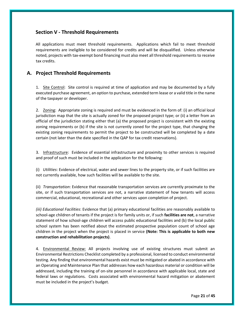# <span id="page-20-0"></span>**Section V ‐ Threshold Requirements**

All applications must meet threshold requirements. Applications which fail to meet threshold requirements are ineligible to be considered for credits and will be disqualified. Unless otherwise noted, projects with tax‐exempt bond financing must also meet all threshold requirements to receive tax credits.

# **A. Project Threshold Requirements**

1. Site Control: Site control is required at time of application and may be documented by a fully executed purchase agreement, an option to purchase, extended term lease or a valid title in the name of the taxpayer or developer.

2. Zoning: Appropriate zoning is required and must be evidenced in the form of: (i) an official local jurisdiction map that the site is actually zoned for the proposed project type; or (ii) a letter from an official of the jurisdiction stating either that (a) the proposed project is consistent with the existing zoning requirements or (b) if the site is not currently zoned for the project type, that changing the existing zoning requirements to permit the project to be constructed will be completed by a date certain (not later than the date specified in the QAP for tax credit reservations).

3. Infrastructure: Evidence of essential infrastructure and proximity to other services is required and proof of such must be included in the application for the following:

(i) *Utilities*: Evidence of electrical, water and sewer lines to the property site, or if such facilities are not currently available, how such facilities will be available to the site.

(ii) *Transportation*: Evidence that reasonable transportation services are currently proximate to the site, or if such transportation services are not, a narrative statement of how tenants will access commercial, educational, recreational and other services upon completion of project.

*(iii) Educational Facilities*: Evidence that (a) primary educational facilities are reasonably available to school‐age children of tenants if the project is for family units or, if such **facilities are not**, a narrative statement of how school-age children will access public educational facilities and (b) the local public school system has been notified about the estimated prospective population count of school age children in the project when the project is placed in service **(Note: This is applicable to both new construction and rehabilitation projects)**.

4. **Environmental Review:** All projects involving use of existing structures must submit an Environmental Restrictions Checklist completed by a professional, licensed to conduct environmental testing. Any finding that environmental hazards exist must be mitigated or abated in accordance with an Operating and Maintenance Plan that addresses how each hazardous material or condition will be addressed, including the training of on-site personnel in accordance with applicable local, state and federal laws or regulations. Costs associated with environmental hazard mitigation or abatement must be included in the project's budget.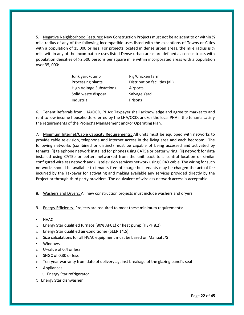5. Negative Neighborhood Features: New Construction Projects must not be adjacent to or within  $\frac{1}{2}$ mile radius of any of the following incompatible uses listed with the exceptions of Towns or Cities with a population of 15,000 or less. For projects located in dense urban areas, the mile radius is  $\frac{1}{4}$ mile within any of the incompatible uses listed Dense urban areas are defined as census tracts with population densities of >2,500 persons per square mile within incorporated areas with a population over 35, 000:

| Junk yard/dump           | Pig/Chicken farm              |
|--------------------------|-------------------------------|
| Processing plants        | Distribution facilities (all) |
| High Voltage Substations | Airports                      |
| Solid waste disposal     | Salvage Yard                  |
| Industrial               | Prisons                       |

6. Tenant Referrals from LHA/OCD, PHAs: Taxpayer shall acknowledge and agree to market to and rent to low income households referred by the LHA/OCD, and/or the local PHA if the tenants satisfy the requirements of the Project's Management and/or Operating Plan.

7. Minimum Internet/Cable Capacity Requirements: All units must be equipped with networks to provide cable television, telephone and internet access in the living area and each bedroom. The following networks (combined or distinct) must be capable of being accessed and activated by tenants: (i) telephone network installed for phones using CAT5e or better wiring, (ii) network for data installed using CAT5e or better, networked from the unit back to a central location or similar configured wireless network and (iii) television services network using COAX cable. The wiring for such networks should be available to tenants free of charge but tenants may be charged the actual fee incurred by the Taxpayer for activating and making available any services provided directly by the Project or through third party providers. The equivalent of wireless network access is acceptable.

- 8. Washers and Dryers: All new construction projects must include washers and dryers.
- 9. Energy Efficiency: Projects are required to meet these minimum requirements:
- HVAC
- o Energy Star qualified furnace (80% AFUE) or heat pump (HSPF 8.2)
- o Energy Star qualified air‐conditioner (SEER 14.5)
- o Size calculations for all HVAC equipment must be based on Manual J/S
- Windows
- o U‐value of 0.4 or less
- o SHGC of 0.30 or less
- o Ten‐year warranty from date of delivery against breakage of the glazing panel's seal
- Appliances
	- O Energy Star refrigerator
- O Energy Star dishwasher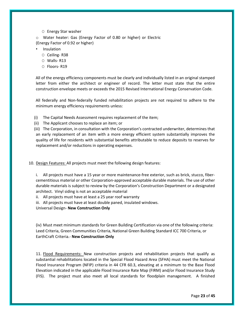O Energy Star washer

o Water heater: Gas (Energy Factor of 0.80 or higher) or Electric (Energy Factor of 0.92 or higher)

- Insulation
	- O Ceiling‐ R38
	- O Walls‐ R13
	- O Floors‐ R19

All of the energy efficiency components must be clearly and individually listed in an original stamped letter from either the architect or engineer of record. The letter must state that the entire construction envelope meets or exceeds the 2015 Revised International Energy Conservation Code.

All federally and Non‐federally funded rehabilitation projects are not required to adhere to the minimum energy efficiency requirements unless:

- (i) The Capital Needs Assessment requires replacement of the item;
- (ii) The Applicant chooses to replace an item; or

(iii) The Corporation, in consultation with the Corporation's contracted underwriter, determines that an early replacement of an item with a more energy efficient system substantially improves the quality of life for residents with substantial benefits attributable to reduce deposits to reserves for replacement and/or reductions in operating expenses.

10. Design Features: All projects must meet the following design features:

i. All projects must have a 15 year or more maintenance-free exterior, such as brick, stucco, fibercementitious material or other Corporation‐approved acceptable durable materials. The use of other durable materials is subject to review by the Corporation's Construction Department or a designated architect. Vinyl siding is not an acceptable material

ii. All projects must have at least a 25 year roof warranty

iii. All projects must have at least double paned, insulated windows.

Universal Design- **New Construction Only**

(iv) Must meet minimum standards for Green Building Certification via one of the following criteria: Leed Criteria, Green Communities Criteria, National Green Building Standard ICC 700 Criteria, or EarthCraft Criteria.- **New Construction Only** 

11. Flood Requirements: New construction projects and rehabilitation projects that qualify as substantial rehabilitations located in the Special Flood Hazard Area (SFHA) must meet the National Flood Insurance Program (NFIP) criteria in 44 CFR 60.3, elevating at a minimum to the Base Flood Elevation indicated in the applicable Flood Insurance Rate Map (FIRM) and/or Flood Insurance Study (FIS). The project must also meet all local standards for floodplain management. A finished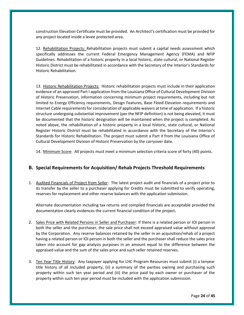construction Elevation Certificate must be provided. An Architect's certification must be provided for any project located inside a levee protected area.

12. Rehabilitation Projects: Rehabilitation projects must submit a capital needs assessment which specifically addresses the current Federal Emergency Management Agency (FEMA) and NFIP Guidelines. Rehabilitation of a historic property in a local historic, state cultural, or National Register Historic District must be rehabilitated in accordance with the Secretary of the Interior's Standards for Historic Rehabilitation.

13. Historic Rehabilitation Projects: Historic rehabilitation projects must include in their application evidence of an approved Part I application from the Louisiana Office of Cultural Development Division of Historic Preservation, information concerning minimum project requirements, including but not limited to Energy Efficiency requirements, Design Features, Base Flood Elevation requirements and Internet Cable requirements for consideration of applicable waivers at time of application. If a historic structure undergoing substantial improvement (per the NFIP definition) is not being elevated, it must be documented that the historic designation will be maintained when the project is completed. As noted above, the rehabilitation of a historic property in a local historic, state cultural, or National Register Historic District must be rehabilitated in accordance with the Secretary of the Interior's Standards for Historic Rehabilitation. The project must submit a Part II from the Louisiana Office of Cultural Development Division of Historic Preservation by the carryover date.

14. Minimum Score: All projects must meet a minimum selection criteria score of forty (40) points.

## <span id="page-23-0"></span>**B. Special Requirements for Acquisition/ Rehab Projects Threshold Requirements**

1. Audited Financials of Project from Seller: The latest project audit and financials of a project prior to its transfer by the seller to a purchaser applying for Credits must be submitted to verify operating, reserves for replacement and other reserve balances with the application submission.

Alternate documentation including tax returns and compiled financials are acceptable provided the documentation clearly evidences the current financial condition of the project**.** 

- 2. Sales Price with Related Persons in Seller and Purchaser: If there is a related person or IOI person in both the seller and the purchaser, the sale price shall not exceed appraised value without approval by the Corporation. Any reserve balances retained by the seller in an acquisition/rehab of a project having a related person or IOI person in both the seller and the purchaser shall reduce the sales price taken into account for gap analysis purposes in an amount equal to the difference between the appraised value and the sum of the sales price and such seller retained reserves.
- 3. Ten Year Title History: Any taxpayer applying for LHC Program Resources must submit (i) a tenyear title history of all included property, (ii) a summary of the parities owning and purchasing such property within such ten year period and (iii) the price paid by each owner or purchaser of the property within such ten year period must be included with the application submission.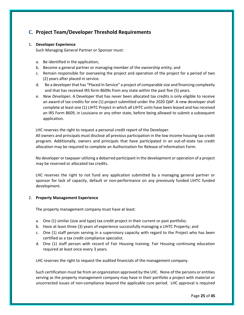# <span id="page-24-0"></span>**C. Project Team/Developer Threshold Requirements**

## 1. **Developer Experience**

Such Managing General Partner or Sponsor must:

- a. Be identified in the application;
- b. Become a general partner or managing member of the ownership entity; and
- c. Remain responsible for overseeing the project and operation of the project for a period of two (2) years after placed in service.
- d. Be a developer that has "Placed In Service" a project of comparable size and financing complexity and that has received IRS form 8609s from any state within the past five (5) years.
- e. *New Developer***.** A Developer that has never been allocated tax credits is only eligible to receive an award of tax credits for one (1) project submitted under the 2020 QAP. A new developer shall complete at least one (1) LIHTC Project in which all LIHTC units have been leased and has received an IRS Form 8609, in Louisiana or any other state, before being allowed to submit a subsequent application.

LHC reserves the right to request a personal credit report of the Developer.

All owners and principals must disclose all previous participation in the low income housing tax credit program. Additionally, owners and principals that have participated in an out‐of‐state tax credit allocation may be required to complete an Authorization for Release of Information Form.

No developer or taxpayer utilizing a debarred participant in the development or operation of a project may be reserved or allocated tax credits.

LHC reserves the right to not fund any application submitted by a managing general partner or sponsor for lack of capacity, default or non-performance on any previously funded LIHTC funded development.

## 2. **Property Management Experience**

The property management company must have at least:

- a. One (1) similar (size and type) tax credit project in their current or past portfolio;
- b. Have at least three (3) years of experience successfully managing a LIHTC Property; and
- c. One (1) staff person serving in a supervisory capacity with regard to the Project who has been certified as a tax credit compliance specialist.
- d. One (1) staff person with record of Fair Housing training. Fair Housing continuing education required at least once every 3 years.

LHC reserves the right to request the audited financials of the management company.

Such certification must be from an organization approved by the LHC. None of the persons or entities serving as the property management company may have in their portfolio a project with material or uncorrected issues of non‐compliance beyond the applicable cure period. LHC approval is required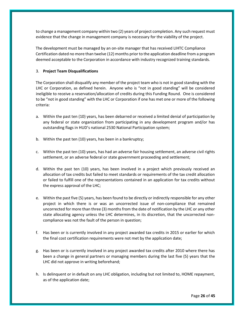to change a management company within two (2) years of project completion. Any such request must evidence that the change in management company is necessary for the viability of the project.

The development must be managed by an on‐site manager that has received LIHTC Compliance Certification dated no more than twelve (12) months prior to the application deadline from a program deemed acceptable to the Corporation in accordance with industry recognized training standards.

## 3. **Project Team Disqualifications**

The Corporation shall disqualify any member of the project team who is not in good standing with the LHC or Corporation, as defined herein. Anyone who is "not in good standing" will be considered ineligible to receive a reservation/allocation of credits during this Funding Round. One is considered to be "not in good standing" with the LHC or Corporation if one has met one or more of the following criteria:

- a. Within the past ten (10) years, has been debarred or received a limited denial of participation by any federal or state organization from participating in any development program and/or has outstanding flags in HUD's national 2530 National Participation system;
- b. Within the past ten (10) years, has been in a bankruptcy;
- c. Within the past ten (10) years, has had an adverse fair housing settlement, an adverse civil rights settlement, or an adverse federal or state government proceeding and settlement;
- d. Within the past ten (10) years, has been involved in a project which previously received an allocation of tax credits but failed to meet standards or requirements of the tax credit allocation or failed to fulfill one of the representations contained in an application for tax credits without the express approval of the LHC;
- e. Within the past five (5) years, has been found to be directly or indirectly responsible for any other project in which there is or was an uncorrected issue of non‐compliance that remained uncorrected for more than three (3) months from the date of notification by the LHC or any other state allocating agency unless the LHC determines, in its discretion, that the uncorrected noncompliance was not the fault of the person in question;
- f. Has been or is currently involved in any project awarded tax credits in 2015 or earlier for which the final cost certification requirements were not met by the application date;
- g. Has been or is currently involved in any project awarded tax credits after 2010 where there has been a change in general partners or managing members during the last five (5) years that the LHC did not approve in writing beforehand;
- h. Is delinquent or in default on any LHC obligation, including but not limited to, HOME repayment, as of the application date;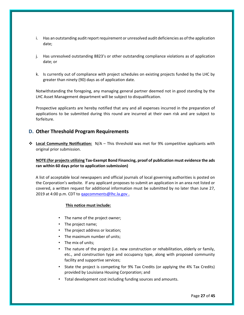- i. Has an outstanding audit report requirement or unresolved audit deficiencies as of the application date;
- j. Has unresolved outstanding 8823's or other outstanding compliance violations as of application date; or
- k. Is currently out of compliance with project schedules on existing projects funded by the LHC by greater than ninety (90) days as of application date.

Notwithstanding the foregoing, any managing general partner deemed not in good standing by the LHC Asset Management department will be subject to disqualification.

Prospective applicants are hereby notified that any and all expenses incurred in the preparation of applications to be submitted during this round are incurred at their own risk and are subject to forfeiture.

# <span id="page-26-0"></span>**D. Other Threshold Program Requirements**

 **Local Community Notification:** N/A – This threshold was met for 9% competitive applicants with original prior submission.

## **NOTE:(for projects utilizing Tax-Exempt Bond Financing, proof of publication must evidence the ads ran within 60 days prior to application submission)**

A list of acceptable local newspapers and official journals of local governing authorities is posted on the Corporation's website. If any applicant proposes to submit an application in an area not listed or covered, a written request for additional information must be submitted by no later than June 27, 2019 at 4:00 p.m. CDT to gapcomments@lhc.la.gov.

## **This notice must include:**

- The name of the project owner;
- The project name;
- The project address or location;
- The maximum number of units;
- The mix of units;
- The nature of the project (i.e. new construction or rehabilitation, elderly or family, etc., and construction type and occupancy type, along with proposed community facility and supportive services;
- State the project is competing for 9% Tax Credits (or applying the 4% Tax Credits) provided by Louisiana Housing Corporation; and
- Total development cost including funding sources and amounts.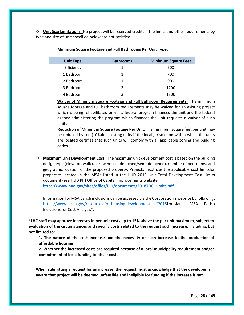**Unit Size Limitations:** No project will be reserved credits if the limits and other requirements by type and size of unit specified below are not satisfied.

| <b>Unit Type</b> | <b>Bathrooms</b> | <b>Minimum Square Feet</b> |
|------------------|------------------|----------------------------|
| Efficiency       |                  | 500                        |
| 1 Bedroom        |                  | 700                        |
| 2 Bedroom        |                  | 900                        |
| 3 Bedroom        |                  | 1200                       |
| 4 Bedroom        |                  | 1500                       |

#### **Minimum Square Footage and Full Bathrooms Per Unit Type:**

**Waiver of Minimum Square Footage and Full Bathroom Requirements.** The minimum square footage and full bathroom requirements may be waived for an existing project which is being rehabilitated only if a federal program finances the unit and the federal agency administering the program which finances the unit requests a waiver of such limits.

**Reduction of Minimum Square Footage Per Unit.** The minimum square feet per unit may be reduced by ten (10%)for existing units if the local jurisdiction within which the units are located certifies that such units will comply with all applicable zoning and building codes.

 **Maximum Unit Development Cost.** The maximum unit development cost is based on the building design type (elevator, walk up, row house, detached/semi‐detached), number of bedrooms, and geographic location of the proposed property. Projects must use the applicable cost limitsfor properties located in the MSAs listed in the HUD 2018 Unit Total Development Cost Limits document (see HUD PIH Office of Capital Improvements website: **[https://www.hud.gov/sites/dfiles/PIH/documents/2018TDC\\_Limits.pdf](https://www.hud.gov/sites/dfiles/PIH/documents/2018TDC_Limits.pdf)**

Information for MSA parish inclusions can be accessed via the Corporation's website by following: <https://www.lhc.la.gov/resources-for-housing-development>"2018Louisiana MSA Parish Inclusions for Cost Analysis".

**\*LHC staff may approve increases in per unit costs up to 15% above the per unit maximum, subject to evaluation of the circumstances and specific costs related to the request such increase, including, but not limited to:**

**1. The nature of the cost increase and the necessity of such increase to the production of affordable housing** 

**2. Whether the increased costs are required because of a local municipality requirement and/or commitment of local funding to offset costs**

**When submitting a request for an increase, the request must acknowledge that the developer is aware that project will be deemed unfeasible and ineligible for funding if the increase is not**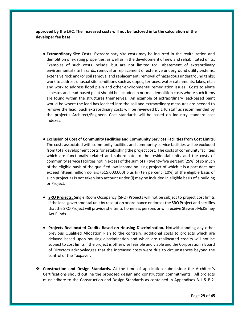**approved by the LHC. The increased costs will not be factored in to the calculation of the developer fee base.**

- **Extraordinary Site Costs.** Extraordinary site costs may be incurred in the revitalization and demolition of existing properties, as well as in the development of new and rehabilitated units. Examples of such costs include, but are not limited to: abatement of extraordinary environmental site hazards; removal or replacement of extensive underground utility systems; extensive rock and/or soil removal and replacement; removal of hazardous underground tanks; work to address unusual site conditions such as slopes, terraces, water catchments, lakes, etc.; and work to address flood plain and other environmental remediation issues. Costs to abate asbestos and lead‐based paint should be included in normal demolition costs where such items are found within the structures themselves. An example of extraordinary lead‐based paint would be where the lead has leached into the soil and extraordinary measures are needed to remove the lead. Such extraordinary costs will be reviewed by LHC staff as recommended by the project's Architect/Engineer. Cost standards will be based on industry standard cost indexes.
- **Exclusion of Cost of Community Facilities and Community Services Facilities from Cost Limits.** The costs associated with community facilities and community service facilities will be excluded from total development costs for establishing the project cost. The costs of community facilities which are functionally related and subordinate to the residential units and the costs of community service facilities not in excess of the sum of (i) twenty‐five percent (25%) of so much of the eligible basis of the qualified low-income housing project of which it is a part does not exceed fifteen million dollars (\$15,000,000) plus (ii) ten percent (10%) of the eligible basis of such project as is not taken into account under (i) may be included in eligible basis of a building or Project.
- **SRO Projects.** Single Room Occupancy (SRO) Projects will not be subject to project cost limits if the local governmental unit by resolution or ordinance endorses the SRO Project and certifies that the SRO Project will provide shelter to homeless persons or will receive Stewart‐McKinney Act Funds.
- **Projects Reallocated Credits Based on Housing Discrimination.** Notwithstanding any other previous Qualified Allocation Plan to the contrary, additional costs to projects which are delayed based upon housing discrimination and which are reallocated credits will not be subject to cost limits if the project is otherwise feasible and viable and the Corporation's Board of Directors acknowledges that the increased costs were due to circumstances beyond the control of the Taxpayer.
- **Construction and Design Standards.** At the time of application submission; the Architect's Certifications should outline the proposed design and construction commitments. All projects must adhere to the Construction and Design Standards as contained in Appendixes B.1 & B.2.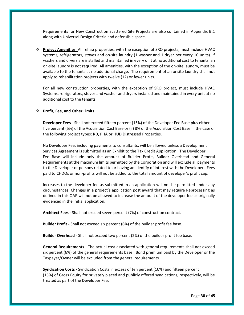Requirements for New Construction Scattered Site Projects are also contained in Appendix B.1 along with Universal Design Criteria and defensible space.

 **Project Amenities.** All rehab properties, with the exception of SRO projects, must include HVAC systems, refrigerators, stoves and on-site laundry (1 washer and 1 dryer per every 10 units). If washers and dryers are installed and maintained in every unit at no additional cost to tenants, an on‐site laundry is not required. All amenities, with the exception of the on‐site laundry, must be available to the tenants at no additional charge. The requirement of an onsite laundry shall not apply to rehabilitation projects with twelve (12) or fewer units.

For all new construction properties, with the exception of SRO project, must include HVAC Systems, refrigerators, stoves and washer and dryers installed and maintained in every unit at no additional cost to the tenants.

#### **Profit, Fee, and Other Limits.**

**Developer Fees ‐** Shall not exceed fifteen percent (15%) of the Developer Fee Base plus either five percent (5%) of the Acquisition Cost Base or (ii) 8% of the Acquisition Cost Base in the case of the following project types: RD, PHA or HUD Distressed Properties.

No Developer Fee, including payments to consultants, will be allowed unless a Development Services Agreement is submitted as an Exhibit to the Tax Credit Application. The Developer Fee Base will include only the amount of Builder Profit, Builder Overhead and General Requirements at the maximum limits permitted by the Corporation and will exclude all payments to the Developer or persons related to or having an identify of interest with the Developer. Fees paid to CHDOs or non‐profits will not be added to the total amount of developer's profit cap.

Increases to the developer fee as submitted in an application will not be permitted under any circumstances. Changes in a project's application post award that may require Reprocessing as defined in this QAP will not be allowed to increase the amount of the developer fee as originally evidenced in the initial application.

**Architect Fees ‐** Shall not exceed seven percent (7%) of construction contract.

**Builder Profit ‐** Shall not exceed six percent (6%) of the builder profit fee base.

**Builder Overhead ‐** Shall not exceed two percent (2%) of the builder profit fee base.

**General Requirements ‐** The actual cost associated with general requirements shall not exceed six percent (6%) of the general requirements base. Bond premium paid by the Developer or the Taxpayer/Owner will be excluded from the general requirements.

**Syndication Costs ‐** Syndication Costs in excess of ten percent (10%) and fifteen percent (15%) of Gross Equity for privately placed and publicly offered syndications, respectively, will be treated as part of the Developer Fee.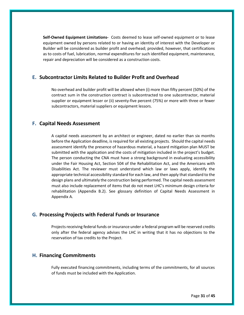**Self‐Owned Equipment Limitations-** Costs deemed to lease self‐owned equipment or to lease equipment owned by persons related to or having an identity of interest with the Developer or Builder will be considered as builder profit and overhead; provided, however, that certifications as to costs of fuel, lubrication, normal expenditures for such identified equipment, maintenance, repair and depreciation will be considered as a construction costs.

# <span id="page-30-0"></span>**E. Subcontractor Limits Related to Builder Profit and Overhead**

No overhead and builder profit will be allowed when (i) more than fifty percent (50%) of the contract sum in the construction contract is subcontracted to one subcontractor, material supplier or equipment lesser or (ii) seventy-five percent (75%) or more with three or fewer subcontractors, material suppliers or equipment lessors.

# <span id="page-30-1"></span>**F. Capital Needs Assessment**

A capital needs assessment by an architect or engineer, dated no earlier than six months before the Application deadline, is required for all existing projects. Should the capital needs assessment identify the presence of hazardous material, a hazard mitigation plan MUST be submitted with the application and the costs of mitigation included in the project's budget. The person conducting the CNA must have a strong background in evaluating accessibility under the Fair Housing Act, Section 504 of the Rehabilitation Act, and the Americans with Disabilities Act. The reviewer must understand which law or laws apply, identify the appropriate technical accessibility standard for each law, and then apply that standard to the design plans and ultimately the construction being performed. The capital needs assessment must also include replacement of items that do not meet LHC's minimum design criteria for rehabilitation (Appendix B.2). See glossary definition of Capital Needs Assessment in Appendix A.

# <span id="page-30-2"></span>**G. Processing Projects with Federal Funds or Insurance**

Projects receiving federal funds or insurance under a federal program will be reserved credits only after the federal agency advises the LHC in writing that it has no objections to the reservation of tax credits to the Project.

# <span id="page-30-3"></span>**H. Financing Commitments**

Fully executed financing commitments, including terms of the commitments, for all sources of funds must be included with the Application.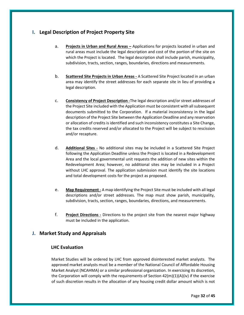# <span id="page-31-0"></span>**I. Legal Description of Project Property Site**

- a. **Projects in Urban and Rural Areas** Applications for projects located in urban and rural areas must include the legal description and cost of the portion of the site on which the Project is located. The legal description shall include parish, municipality, subdivision, tracts, section, ranges, boundaries, directions and measurements.
- b. **Scattered Site Projects in Urban Areas ‐** A Scattered Site Project located in an urban area may identify the street addresses for each separate site in lieu of providing a legal description.
- c. **Consistency of Project Description ‐**The legal description and/or street addresses of the Project Site included with the Application must be consistent with all subsequent documents submitted to the Corporation. If a material inconsistency in the legal description of the Project Site between the Application Deadline and any reservation or allocation of credits is identified and such inconsistency constitutes a Site Change, the tax credits reserved and/or allocated to the Project will be subject to rescission and/or recapture.
- d. **Additional Sites ‐** No additional sites may be included in a Scattered Site Project following the Application Deadline unless the Project is located in a Redevelopment Area and the local governmental unit requests the addition of new sites within the Redevelopment Area; however, no additional sites may be included in a Project without LHC approval. The application submission must identify the site locations and total development costs for the project as proposed.
- e. **Map Requirement ‐** A map identifying the Project Site must be included with all legal descriptions and/or street addresses. The map must show parish, municipality, subdivision, tracts, section, ranges, boundaries, directions, and measurements.
- f. **Project Directions ‐** Directions to the project site from the nearest major highway must be included in the application.

# <span id="page-31-2"></span><span id="page-31-1"></span>**J. Market Study and Appraisals**

## **LHC Evaluation**

Market Studies will be ordered by LHC from approved disinterested market analysts. The approved market analysts must be a member of the National Council of Affordable Housing Market Analyst (NCAHMA) or a similar professional organization. In exercising its discretion, the Corporation will comply with the requirements of Section  $42(m)(1)(A)(iv)$  if the exercise of such discretion results in the allocation of any housing credit dollar amount which is not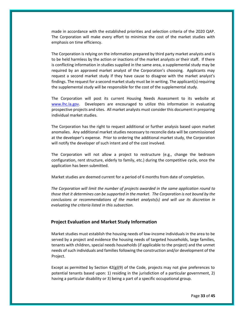made in accordance with the established priorities and selection criteria of the 2020 QAP. The Corporation will make every effort to minimize the cost of the market studies with emphasis on time efficiency.

The Corporation is relying on the information prepared by third party market analysts and is to be held harmless by the action or inactions of the market analysts or their staff. If there is conflicting information in studies supplied in the same area, a supplemental study may be required by an approved market analyst of the Corporation's choosing. Applicants may request a second market study if they have cause to disagree with the market analyst's findings. The request for a second market study must be in writing. The applicant(s) requiring the supplemental study will be responsible for the cost of the supplemental study.

The Corporation will post its current Housing Needs Assessment to its website at www.lhc.la.gov. Developers are encouraged to utilize this information in evaluating prospective projects and sites. All market analysts must consider this document in preparing individual market studies.

The Corporation has the right to request additional or further analysis based upon market anomalies. Any additional market studies necessary to reconcile data will be commissioned at the developer's expense. Prior to ordering the additional market study, the Corporation will notify the developer of such intent and of the cost involved.

The Corporation will not allow a project to restructure (e.g., change the bedroom configuration, rent structure, elderly to family, etc.) during the competitive cycle, once the application has been submitted.

Market studies are deemed current for a period of 6 months from date of completion.

*The Corporation will limit the number of projects awarded in the same application round to those that it determines can be supported in the market. The Corporation is not bound by the conclusions or recommendations of the market analysts(s) and will use its discretion in evaluating the criteria listed in this subsection.* 

## <span id="page-32-0"></span>**Project Evaluation and Market Study Information**

Market studies must establish the housing needs of low‐income individuals in the area to be served by a project and evidence the housing needs of targeted households, large families, tenants with children, special needs households (if applicable to the project) and the unmet needs of such individuals and families following the construction and/or development of the Project.

Except as permitted by Section  $42(g)(9)$  of the Code, projects may not give preferences to potential tenants based upon: 1) residing in the jurisdiction of a particular government, 2) having a particular disability or 3) being a part of a specific occupational group.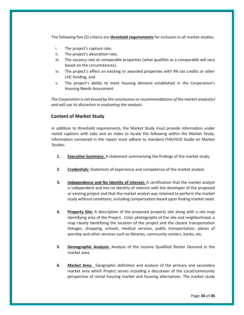The following five (5) criteria are **threshold requirements** for inclusion in all market studies:

- i. The project's capture rate,
- ii. The project's absorption rate,
- iii. The vacancy rate at comparable properties (what qualifies as a comparable will vary based on the circumstances),
- iv. The project's effect on existing or awarded properties with 9% tax credits or other LHC funding, and
- v. The project's ability to meet housing demand established in the Corporation's Housing Needs Assessment

*The Corporation is not bound by the conclusions or recommendations of the market analyst(s) and will use its discretion in evaluating the analysis.* 

## <span id="page-33-0"></span>**Content of Market Study**

In addition to threshold requirements, the Market Study must provide information under noted captions with tabs and an index to locate the following within the Market Study. Information contained in the report must adhere to standard FHA/HUD Guide on Market Studies.

- **1. Executive Summary:** A statement summarizing the findings of the market study.
- **2. Credentials:** Statement of experience and competence of the market analyst.
- **3. Independence and No Identity of Interest:** A certification that the market analyst is independent and has no identity of interest with the developer of the proposed or existing project and that the market analyst was retained to perform the market study without conditions, including compensation based upon finding market need.
- **4. Property Site:** A description of the proposed property site along with a site map identifying area of the Project. Color photographs of the site and neighborhood, a map clearly identifying the location of the project and the closest transportation linkages, shopping, schools, medical services, public transportation, places of worship and other services such as libraries, community centers, banks, etc.
- **5. Demographic Analysis:** Analysis of the Income Qualified Renter Demand in the market area.
- **6. Market Area:** Geographic definition and analysis of the primary and secondary market area which Project serves including a discussion of the Local/community perspective of rental housing market and housing alternatives. The market study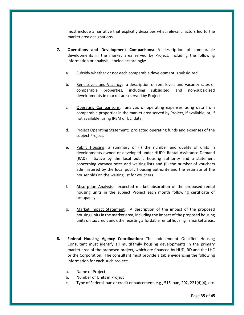must include a narrative that explicitly describes what relevant factors led to the market area designations.

- **7. Operations and Development Comparisons:** A description of comparable developments in the market area served by Project, including the following information or analysis, labeled accordingly:
	- a. Subsidy whether or not each comparable development is subsidized.
	- b. Rent Levels and Vacancy: a description of rent levels and vacancy rates of comparable properties, including subsidized and non‐subsidized developments in market area served by Project.
	- c. Operating Comparisons: analysis of operating expenses using data from comparable properties in the market area served by Project, if available, or, if not available, using IREM of ULI data.
	- d. Project Operating Statement: projected operating funds and expenses of the subject Project.
	- e. Public Housing: a summary of (i) the number and quality of units in developments owned or developed under HUD's Rental Assistance Demand (RAD) initiative by the local public housing authority and a statement concerning vacancy rates and waiting lists and (ii) the number of vouchers administered by the local public housing authority and the estimate of the households on the waiting list for vouchers.
	- f. Absorption Analysis: expected market absorption of the proposed rental housing units in the subject Project each month following certificate of occupancy.
	- g. Market Impact Statement: A description of the impact of the proposed housing units in the market area, including the impact of the proposed housing units on tax credit and other existing affordable rental housing in market areas.
- **8. Federal Housing Agency Coordination:** The Independent Qualified Housing Consultant must identify all multifamily housing developments in the primary market area of the proposed project, which are financed by HUD, RD and the LHC or the Corporation. The consultant must provide a table evidencing the following information for each such project:
	- a. Name of Project
	- b. Number of Units in Project
	- c. Type of Federal loan or credit enhancement, e.g., 515 loan, 202, 221(d)(4), etc.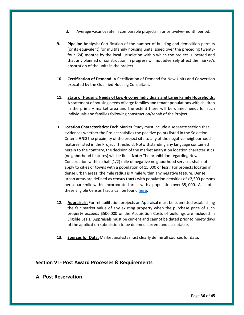- d. Average vacancy rate in comparable projects in prior twelve‐month period.
- **9. Pipeline Analysis:** Certification of the number of building and demolition permits (or its equivalent) for multifamily housing units issued over the preceding twenty‐ four (24) months by the local jurisdiction within which the project is located and that any planned or construction in progress will not adversely affect the market's absorption of the units in the project.
- **10. Certification of Demand:** A Certification of Demand for New Units and Conversion executed by the Qualified Housing Consultant.
- **11. State of Housing Needs of Low‐Income Individuals and Large Family Households:** A statement of housing needs of large families and tenant populations with children in the primary market area and the extent there will be unmet needs for such individuals and families following construction/rehab of the Project.
- **Location Characteristics:** Each Market Study must include a separate section that evidences whether the Project satisfies the positive points listed in the Selection Criteria **AND** the proximity of the project site to any of the negative neighborhood features listed in the Project Threshold. Notwithstanding any language contained herein to the contrary, the decision of the market analyst on location characteristics (neighborhood features) will be final. **Note:** The prohibition regarding New Construction within a half (1/2) mile of negative neighborhood services shall not apply to cities or towns with a population of 15,000 or less. For projects located in dense urban areas, the mile radius is ¼ mile within any negative feature. Dense urban areas are defined as census tracts with population densities of >2,500 persons per square mile within incorporated areas with a population over 35, 000. A list of these Eligible Census Tracts can be found [here.](file://///fileprint0/LHFA_Share/2019%20QAP%20Development/Maps-Census%20Data/PPMile/Eligible%20Tracts.xlsx)
- **12. Appraisals:** For rehabilitation projects an Appraisal must be submitted establishing the fair market value of any existing property when the purchase price of such property exceeds \$500,000 or the Acquisition Costs of buildings are included in Eligible Basis. Appraisals must be current and cannot be dated prior to ninety days of the application submission to be deemed current and acceptable.
- **13. Sources for Data:** Market analysts must clearly define all sources for data.

# <span id="page-35-0"></span>**Section VI ‐ Post Award Processes & Requirements**

## <span id="page-35-1"></span>**A. Post Reservation**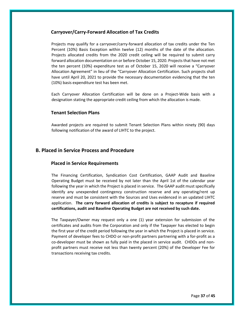## <span id="page-36-0"></span>**Carryover/Carry‐Forward Allocation of Tax Credits**

Projects may qualify for a carryover/carry‐forward allocation of tax credits under the Ten Percent (10%) Basis Exception within twelve (12) months of the date of the allocation. Projects allocated credits from the 2020 credit ceiling will be required to submit carry forward allocation documentation on or before October 15, 2020. Projects that have not met the ten percent (10%) expenditure test as of October 15, 2020 will receive a "Carryover Allocation Agreement" in lieu of the "Carryover Allocation Certification. Such projects shall have until April 20, 2021 to provide the necessary documentation evidencing that the ten (10%) basis expenditure test has been met.

Each Carryover Allocation Certification will be done on a Project‐Wide basis with a designation stating the appropriate credit ceiling from which the allocation is made.

## <span id="page-36-1"></span>**Tenant Selection Plans**

Awarded projects are required to submit Tenant Selection Plans within ninety (90) days following notification of the award of LIHTC to the project.

## <span id="page-36-3"></span><span id="page-36-2"></span>**B. Placed in Service Process and Procedure**

#### **Placed in Service Requirements**

The Financing Certification, Syndication Cost Certification, GAAP Audit and Baseline Operating Budget must be received by not later than the April 1st of the calendar year following the year in which the Project is placed in service. The GAAP audit must specifically identify any unexpended contingency construction reserve and any operating/rent up reserve and must be consistent with the Sources and Uses evidenced in an updated LIHTC application. **The carry forward allocation of credits is subject to recapture if required certifications, audit and Baseline Operating Budget are not received by such date.**

The Taxpayer/Owner may request only a one (1) year extension for submission of the certificates and audits from the Corporation and only if the Taxpayer has elected to begin the first year of the credit period following the year in which the Project is placed in service. Payment of developer fees to CHDO or non-profit partners partnering with a for-profit as a co-developer must be shown as fully paid in the placed in service audit. CHDOs and nonprofit partners must receive not less than twenty percent (20%) of the Developer Fee for transactions receiving tax credits.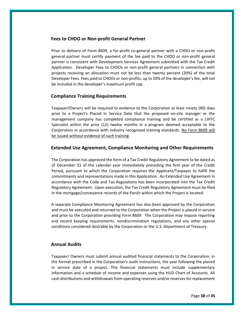## <span id="page-37-0"></span>**Fees to CHDO or Non‐profit General Partner**

Prior to delivery of Form 8609, a for‐profit co‐general partner with a CHDO or non‐profit general partner must certify payment of the fee paid to the CHDO or non‐profit general partner is consistent with Development Services Agreement submitted with the Tax Credit Application. Developer Fees to CHDOs or non‐profit general partners in connection with projects receiving an allocation must not be less than twenty percent (20%) of the total Developer Fees. Fees paid to CHDOs or non‐profits, up to 20% of the developer's fee, will not be included in the developer's maximum profit cap.

## <span id="page-37-1"></span>**Compliance Training Requirements**

Taxpayer/Owners will be required to evidence to the Corporation at least ninety (90) days prior to a Project's Placed In Service Date that the proposed on‐site manager or the management company has completed compliance training and be certified as a LIHTC Specialist within the prior (12) twelve months in a program deemed acceptable to the Corporation in accordance with industry recognized training standards. No Form 8609 will be issued without evidence of such training.

## <span id="page-37-2"></span>**Extended Use Agreement, Compliance Monitoring and Other Requirements**

The Corporation has approved the form of a Tax Credit Regulatory Agreement to be dated as of December 31 of the calendar year immediately preceding the first year of the Credit Period, pursuant to which the Corporation requires the Applicant/Taxpayer to fulfill the commitments and representations made in this Application. An Extended Use Agreement in accordance with the Code and Tax Regulations has been incorporated into the Tax Credit Regulatory Agreement. Upon execution, the Tax Credit Regulatory Agreement must be filed in the mortgage/conveyance records of the Parish within which the Project is located.

A separate Compliance Monitoring Agreement has also been approved by the Corporation and must be executed and returned to the Corporation when the Project is placed in service and prior to the Corporation providing Form 8609. The Corporation may impose reporting and record keeping requirements, nondiscrimination regulations, and any other special conditions considered desirable by the Corporation or the U.S. Department of Treasury.

## <span id="page-37-3"></span>**Annual Audits**

Taxpayer/ Owners must submit annual audited financial statements to the Corporation, in the format prescribed in the Corporation's audit instructions, the year following the placed in service date of a project. The financial statements must include supplementary information and a schedule of income and expenses using the HUD Chart of Accounts. All cash distributions and withdrawals from operating reserves and/or reserves for replacement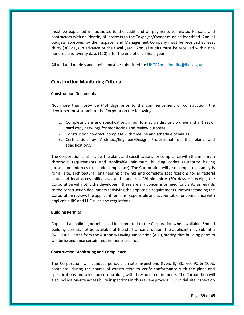must be explained in footnotes to the audit and all payments to related Persons and contractors with an identity of interests to the Taxpayer/Owner must be identified. Annual budgets approved by the Taxpayer and Management Company must be received at least thirty (30) days in advance of the fiscal year. Annual audits must be received within one hundred and twenty days (120) after the end of each fiscal year.

All updated models and audits must be submitted to: LIHTCAnnualAudits@lhc.la.gov

## <span id="page-38-0"></span>**Construction Monitoring Criteria**

#### **Construction Documents**

Not more than forty‐five (45) days prior to the commencement of construction, the developer must submit to the Corporation the following:

- 1. Complete plans and specifications in pdf format via disc or zip drive and a  $\frac{1}{2}$  set of hard copy drawings for monitoring and review purposes.
- 2. Construction contract, complete with timeline and schedule of values.
- 3. Certification by Architect/Engineer/Design Professional of the plans and specifications.

The Corporation shall review the plans and specifications for compliance with the minimum threshold requirements and applicable minimum building codes (authority having jurisdiction enforces true code compliance). The Corporation will also complete an analysis for all site, architectural, engineering drawings and complete specifications for all federal state and local accessibility laws and standards. Within thirty (30) days of receipt, the Corporation will notify the developer if there are any concerns or need for clarity as regards to the construction documents satisfying the applicable requirements. Notwithstanding the Corporation review, the applicant remains responsible and accountable for compliance with applicable IRS and LHC rules and regulations.

#### **Building Permits**

Copies of all building permits shall be submitted to the Corporation when available. Should building permits not be available at the start of construction, the applicant may submit a "will issue" letter from the Authority Having Jurisdiction (AHJ), stating that building permits will be issued once certain requirements are met.

#### **Construction Monitoring and Compliance**

The Corporation will conduct periodic on-site inspections (typically 30, 60, 90 & 100% complete) during the course of construction to verify conformance with the plans and specifications and selection criteria along with threshold requirements. The Corporation will also include on-site accessibility inspections in this review process. Our initial site inspection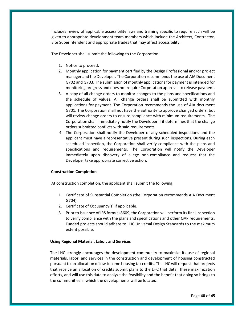includes review of applicable accessibility laws and training specific to require such will be given to appropriate development team members which include the Architect, Contractor, Site Superintendent and appropriate trades that may affect accessibility.

The Developer shall submit the following to the Corporation:

- 1. Notice to proceed.
- 2. Monthly application for payment certified by the Design Professional and/or project manager and the Developer. The Corporation recommends the use of AIA Document G702 and G703. The submission of monthly applications for payment is intended for monitoring progress and does not require Corporation approval to release payment.
- 3. A copy of all change orders to monitor changes to the plans and specifications and the schedule of values. All change orders shall be submitted with monthly applications for payment. The Corporation recommends the use of AIA document G701. The Corporation shall not have the authority to approve changed orders, but will review change orders to ensure compliance with minimum requirements. The Corporation shall immediately notify the Developer if it determines that the change orders submitted conflicts with said requirements
- 4. The Corporation shall notify the Developer of any scheduled inspections and the applicant must have a representative present during such inspections. During each scheduled inspection, the Corporation shall verify compliance with the plans and specifications and requirements. The Corporation will notify the Developer immediately upon discovery of allege non‐compliance and request that the Developer take appropriate corrective action.

#### **Construction Completion**

At construction completion, the applicant shall submit the following:

- 1. Certificate of Substantial Completion (the Corporation recommends AIA Document G704).
- 2. Certificate of Occupancy(s) if applicable.
- 3. Prior to issuance of IRS form(s) 8609, the Corporation will perform its final inspection to verify compliance with the plans and specifications and other QAP requirements. Funded projects should adhere to LHC Universal Design Standards to the maximum extent possible.

#### **Using Regional Material, Labor, and Services**

The LHC strongly encourages the development community to maximize its use of regional materials, labor, and services in the construction and development of housing constructed pursuant to an allocation of low-income housing tax credits. The LHC will request that projects that receive an allocation of credits submit plans to the LHC that detail these maximization efforts, and will use this data to analyze the feasibility and the benefit that doing so brings to the communities in which the developments will be located.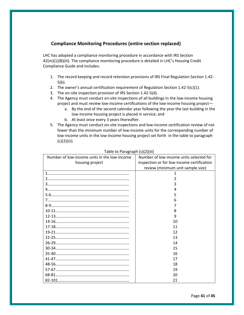# **Compliance Monitoring Procedures (entire section replaced)**

<span id="page-40-0"></span>LHC has adopted a compliance monitoring procedure in accordance with IRS Section 42(m)(1)(B)(iii). The compliance monitoring procedure is detailed in LHC's Housing Credit Compliance Guide and includes:

- 1. The record keeping and record retention provisions of IRS Final Regulation Section 1.42- 5(b).
- 2. The owner's annual certification requirement of Regulation Section 1.42-5(c)(1).
- 3. The on-site inspection provision of IRS Section 1.42-5(d).
- 4. The Agency must conduct on-site inspections of all buildings in the low-income housing project and must review low-income certifications of the low-income housing project
	- a. By the end of the second calendar year following the year the last building in the low-income housing project is placed in service; and
	- b. At least once every 3 years thereafter.
- 5. The Agency must conduct on-site inspections and low-income certification review of not fewer than the minimum number of low-income units for the corresponding number of low-income units in the low-income housing project set forth in the table to paragraph (c)(2)(iii).

| Number of low-income units in the low-income | Number of low-income units selected for    |
|----------------------------------------------|--------------------------------------------|
| housing project                              | inspection or for low-income certification |
|                                              | review (minimum unit sample size)          |
|                                              | 1                                          |
|                                              |                                            |
|                                              | ξ                                          |
|                                              | 4                                          |
|                                              |                                            |
|                                              | h                                          |
|                                              |                                            |
|                                              | 8                                          |
|                                              | 9                                          |
|                                              | 10                                         |
|                                              | 11                                         |
|                                              | 12                                         |
|                                              | 13                                         |
|                                              | 14                                         |
|                                              | 15                                         |
|                                              | 16                                         |
|                                              | 17                                         |
|                                              | 18                                         |
|                                              | 19                                         |
|                                              | 20                                         |
|                                              | 21                                         |

Table to Paragraph (c)(2)(iii)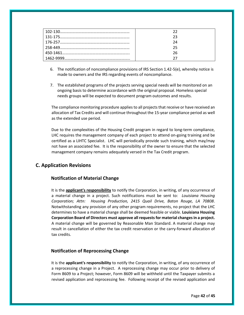- 6. The notification of noncompliance provisions of IRS Section 1.42-5(e), whereby notice is made to owners and the IRS regarding events of noncompliance.
- 7. The established programs of the projects serving special needs will be monitored on an ongoing basis to determine accordance with the original proposal. Homeless special needs groups will be expected to document program outcomes and results.

The compliance monitoring procedure applies to all projects that receive or have received an allocation of Tax Credits and will continue throughout the 15‐year compliance period as well as the extended use period.

Due to the complexities of the Housing Credit program in regard to long-term compliance, LHC requires the management company of each project to attend on‐going training and be certified as a LIHTC Specialist. LHC will periodically provide such training, which may/may not have an associated fee. It is the responsibility of the owner to ensure that the selected management company remains adequately versed in the Tax Credit program.

# <span id="page-41-1"></span><span id="page-41-0"></span>**C. Application Revisions**

## **Notification of Material Change**

It is the **applicant's responsibility** to notify the Corporation, in writing, of any occurrence of a material change in a project. Such notifications must be sent to: *Louisiana Housing Corporation; Attn: Housing Production, 2415 Quail Drive, Baton Rouge, LA 70808*. Notwithstanding any provision of any other program requirements, no project that the LHC determines to have a material change shall be deemed feasible or viable. **Louisiana Housing Corporation Board of Directors must approve all requests for material changes in a project.** A material change will be governed by Reasonable Man Standard. A material change may result in cancellation of either the tax credit reservation or the carry‐forward allocation of tax credits.

## <span id="page-41-2"></span>**Notification of Reprocessing Change**

It is the **applicant's responsibility** to notify the Corporation, in writing, of any occurrence of a reprocessing change in a Project. A reprocessing change may occur prior to delivery of Form 8609 to a Project; however, Form 8609 will be withheld until the Taxpayer submits a revised application and reprocessing fee. Following receipt of the revised application and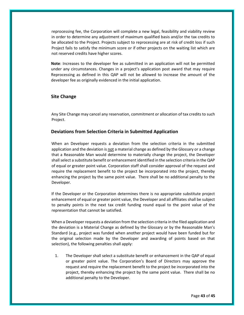reprocessing fee, the Corporation will complete a new legal, feasibility and viability review in order to determine any adjustment of maximum qualified basis and/or the tax credits to be allocated to the Project. Projects subject to reprocessing are at risk of credit loss if such Project fails to satisfy the minimum score or if other projects on the waiting list which are not reserved credits have higher scores.

**Note**: Increases to the developer fee as submitted in an application will not be permitted under any circumstances. Changes in a project's application post award that may require Reprocessing as defined in this QAP will not be allowed to increase the amount of the developer fee as originally evidenced in the initial application.

## <span id="page-42-0"></span>**Site Change**

Any Site Change may cancel any reservation, commitment or allocation of tax credits to such Project.

## <span id="page-42-1"></span>**Deviations from Selection Criteria in Submitted Application**

When an Developer requests a deviation from the selection criteria in the submitted application and the deviation is not a material change as defined by the Glossary or a change that a Reasonable Man would determine to materially change the project, the Developer shall select a substitute benefit or enhancement identified in the selection criteria in the QAP of equal or greater point value. Corporation staff shall consider approval of the request and require the replacement benefit to the project be incorporated into the project, thereby enhancing the project by the same point value. There shall be no additional penalty to the Developer.

If the Developer or the Corporation determines there is no appropriate substitute project enhancement of equal or greater point value, the Developer and all affiliates shall be subject to penalty points in the next tax credit funding round equal to the point value of the representation that cannot be satisfied.

When a Developer requests a deviation from the selection criteria in the filed application and the deviation is a Material Change as defined by the Glossary or by the Reasonable Man's Standard (e.g., project was funded when another project would have been funded but for the original selection made by the Developer and awarding of points based on that selection), the following penalties shall apply:

1. The Developer shall select a substitute benefit or enhancement in the QAP of equal or greater point value. The Corporation's Board of Directors may approve the request and require the replacement benefit to the project be incorporated into the project, thereby enhancing the project by the same point value. There shall be no additional penalty to the Developer.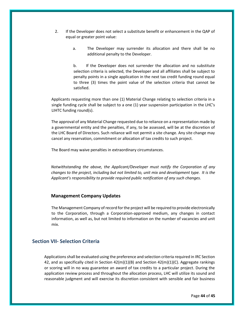- 2. If the Developer does not select a substitute benefit or enhancement in the QAP of equal or greater point value:
	- a. The Developer may surrender its allocation and there shall be no additional penalty to the Developer.

b. If the Developer does not surrender the allocation and no substitute selection criteria is selected, the Developer and all affiliates shall be subject to penalty points in a single application in the next tax credit funding round equal to three (3) times the point value of the selection criteria that cannot be satisfied.

Applicants requesting more than one (1) Material Change relating to selection criteria in a single funding cycle shall be subject to a one (1) year suspension participation in the LHC's LIHTC funding round(s).

The approval of any Material Change requested due to reliance on a representation made by a governmental entity and the penalties, if any, to be assessed, will be at the discretion of the LHC Board of Directors. Such reliance will not permit a site change. Any site change may cancel any reservation, commitment or allocation of tax credits to such project.

The Board may waive penalties in extraordinary circumstances.

*Notwithstanding the above, the Applicant/Developer must notify the Corporation of any changes to the project, including but not limited to, unit mix and development type. It is the Applicant's responsibility to provide required public notification of any such changes.* 

#### <span id="page-43-0"></span>**Management Company Updates**

The Management Company of record for the project will be required to provide electronically to the Corporation, through a Corporation‐approved medium, any changes in contact information, as well as, but not limited to information on the number of vacancies and unit mix.

# <span id="page-43-1"></span>**Section VII‐ Selection Criteria**

Applications shall be evaluated using the preference and selection criteria required in IRC Section 42, and as specifically cited in Section  $42(m)(1)(B)$  and Section  $42(m)(1)(C)$ . Aggregate rankings or scoring will in no way guarantee an award of tax credits to a particular project. During the application review process and throughout the allocation process, LHC will utilize its sound and reasonable judgment and will exercise its discretion consistent with sensible and fair business